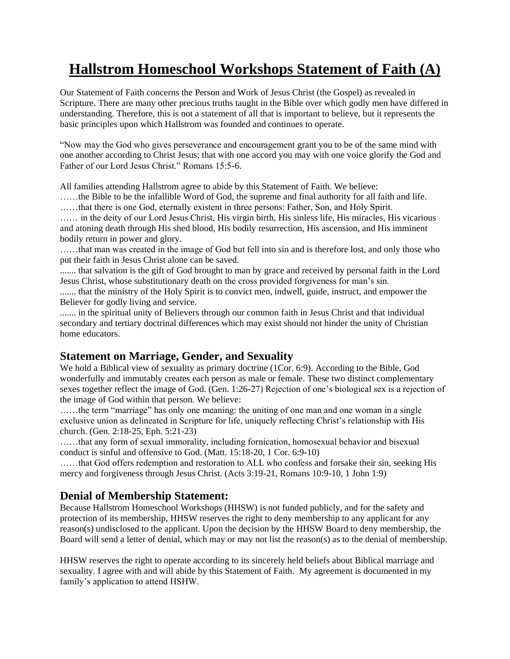# **Hallstrom Homeschool Workshops Statement of Faith (A)**

Our Statement of Faith concerns the Person and Work of Jesus Christ (the Gospel) as revealed in Scripture. There are many other precious truths taught in the Bible over which godly men have differed in understanding. Therefore, this is not a statement of all that is important to believe, but it represents the basic principles upon which Hallstrom was founded and continues to operate.

"Now may the God who gives perseverance and encouragement grant you to be of the same mind with one another according to Christ Jesus; that with one accord you may with one voice glorify the God and Father of our Lord Jesus Christ." Romans 15:5-6.

All families attending Hallstrom agree to abide by this Statement of Faith. We believe:

……the Bible to be the infallible Word of God, the supreme and final authority for all faith and life. ……that there is one God, eternally existent in three persons: Father, Son, and Holy Spirit.

…… in the deity of our Lord Jesus Christ, His virgin birth, His sinless life, His miracles, His vicarious and atoning death through His shed blood, His bodily resurrection, His ascension, and His imminent bodily return in power and glory.

……that man was created in the image of God but fell into sin and is therefore lost, and only those who put their faith in Jesus Christ alone can be saved.

....... that salvation is the gift of God brought to man by grace and received by personal faith in the Lord Jesus Christ, whose substitutionary death on the cross provided forgiveness for man's sin.

....... that the ministry of the Holy Spirit is to convict men, indwell, guide, instruct, and empower the Believer for godly living and service.

....... in the spiritual unity of Believers through our common faith in Jesus Christ and that individual secondary and tertiary doctrinal differences which may exist should not hinder the unity of Christian home educators.

## **Statement on Marriage, Gender, and Sexuality**

We hold a Biblical view of sexuality as primary doctrine (1Cor. 6:9). According to the Bible, God wonderfully and immutably creates each person as male or female. These two distinct complementary sexes together reflect the image of God. (Gen. 1:26-27) Rejection of one's biological sex is a rejection of the image of God within that person. We believe:

……the term "marriage" has only one meaning: the uniting of one man and one woman in a single exclusive union as delineated in Scripture for life, uniquely reflecting Christ's relationship with His church. (Gen. 2:18-25, Eph. 5:21-23)

……that any form of sexual immorality, including fornication, homosexual behavior and bisexual conduct is sinful and offensive to God. (Matt. 15:18-20, 1 Cor. 6:9-10)

……that God offers redemption and restoration to ALL who confess and forsake their sin, seeking His mercy and forgiveness through Jesus Christ. (Acts 3:19-21, Romans 10:9-10, 1 John 1:9)

## **Denial of Membership Statement:**

Because Hallstrom Homeschool Workshops (HHSW) is not funded publicly, and for the safety and protection of its membership, HHSW reserves the right to deny membership to any applicant for any reason(s) undisclosed to the applicant. Upon the decision by the HHSW Board to deny membership, the Board will send a letter of denial, which may or may not list the reason(s) as to the denial of membership.

HHSW reserves the right to operate according to its sincerely held beliefs about Biblical marriage and sexuality. I agree with and will abide by this Statement of Faith. My agreement is documented in my family's application to attend HSHW.